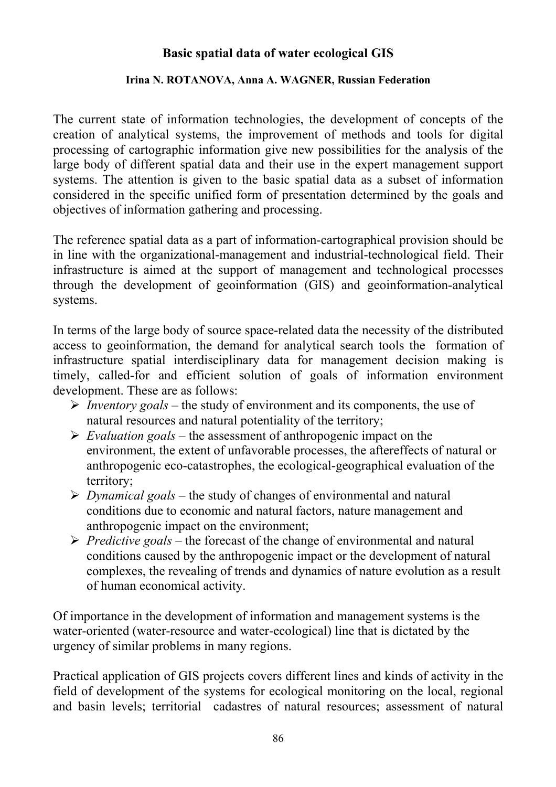## **Basic spatial data of water ecological GIS**

## **Irina N. ROTANOVA, Anna A. WAGNER, Russian Federation**

The current state of information technologies, the development of concepts of the creation of analytical systems, the improvement of methods and tools for digital processing of cartographic information give new possibilities for the analysis of the large body of different spatial data and their use in the expert management support systems. The attention is given to the basic spatial data as a subset of information considered in the specific unified form of presentation determined by the goals and objectives of information gathering and processing.

The reference spatial data as a part of information-cartographical provision should be in line with the organizational-management and industrial-technological field. Their infrastructure is aimed at the support of management and technological processes through the development of geoinformation (GIS) and geoinformation-analytical systems.

In terms of the large body of source space-related data the necessity of the distributed access to geoinformation, the demand for analytical search tools the formation of infrastructure spatial interdisciplinary data for management decision making is timely, called-for and efficient solution of goals of information environment development. These are as follows:

- ¾ *Inventory goals*  the study of environment and its components, the use of natural resources and natural potentiality of the territory;
- ¾ *Evaluation goals* the assessment of anthropogenic impact on the environment, the extent of unfavorable processes, the aftereffects of natural or anthropogenic eco-catastrophes, the ecological-geographical evaluation of the territory;
- ¾ *Dynamical goals*  the study of changes of environmental and natural conditions due to economic and natural factors, nature management and anthropogenic impact on the environment;
- ¾ *Predictive goals* the forecast of the change of environmental and natural conditions caused by the anthropogenic impact or the development of natural complexes, the revealing of trends and dynamics of nature evolution as a result of human economical activity.

Of importance in the development of information and management systems is the water-oriented (water-resource and water-ecological) line that is dictated by the urgency of similar problems in many regions.

Practical application of GIS projects covers different lines and kinds of activity in the field of development of the systems for ecological monitoring on the local, regional and basin levels; territorial cadastres of natural resources; assessment of natural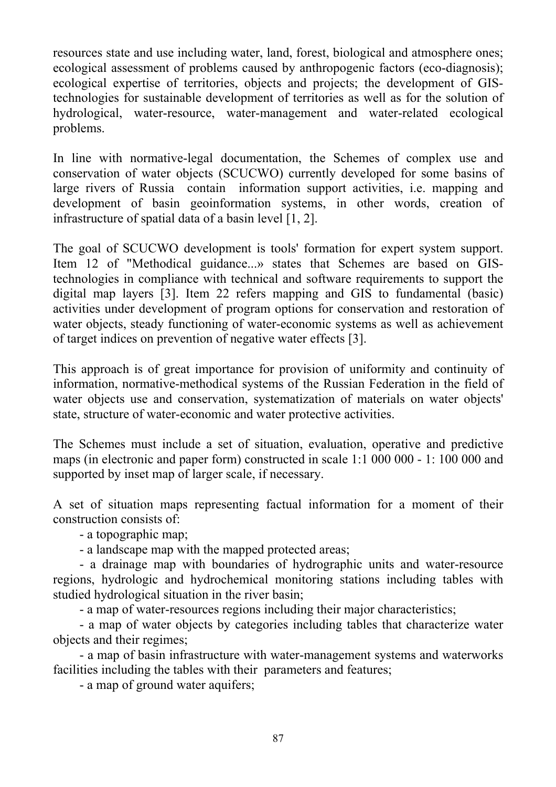resources state and use including water, land, forest, biological and atmosphere ones; ecological assessment of problems caused by anthropogenic factors (eco-diagnosis); ecological expertise of territories, objects and projects; the development of GIStechnologies for sustainable development of territories as well as for the solution of hydrological, water-resource, water-management and water-related ecological problems.

In line with normative-legal documentation, the Schemes of complex use and conservation of water objects (SCUCWO) currently developed for some basins of large rivers of Russia contain information support activities, i.e. mapping and development of basin geoinformation systems, in other words, creation of infrastructure of spatial data of a basin level [1, 2].

The goal of SCUCWO development is tools' formation for expert system support. Item 12 of "Methodical guidance...» states that Schemes are based on GIStechnologies in compliance with technical and software requirements to support the digital map layers [3]. Item 22 refers mapping and GIS to fundamental (basic) activities under development of program options for conservation and restoration of water objects, steady functioning of water-economic systems as well as achievement of target indices on prevention of negative water effects [3].

This approach is of great importance for provision of uniformity and continuity of information, normative-methodical systems of the Russian Federation in the field of water objects use and conservation, systematization of materials on water objects' state, structure of water-economic and water protective activities.

The Schemes must include a set of situation, evaluation, operative and predictive maps (in electronic and paper form) constructed in scale 1:1 000 000 - 1: 100 000 and supported by inset map of larger scale, if necessary.

A set of situation maps representing factual information for a moment of their construction consists of:

- a topographic map;

- a landscape map with the mapped protected areas;

- a drainage map with boundaries of hydrographic units and water-resource regions, hydrologic and hydrochemical monitoring stations including tables with studied hydrological situation in the river basin;

- a map of water-resources regions including their major characteristics;

- a map of water objects by categories including tables that characterize water objects and their regimes;

- a map of basin infrastructure with water-management systems and waterworks facilities including the tables with their parameters and features;

- a map of ground water aquifers;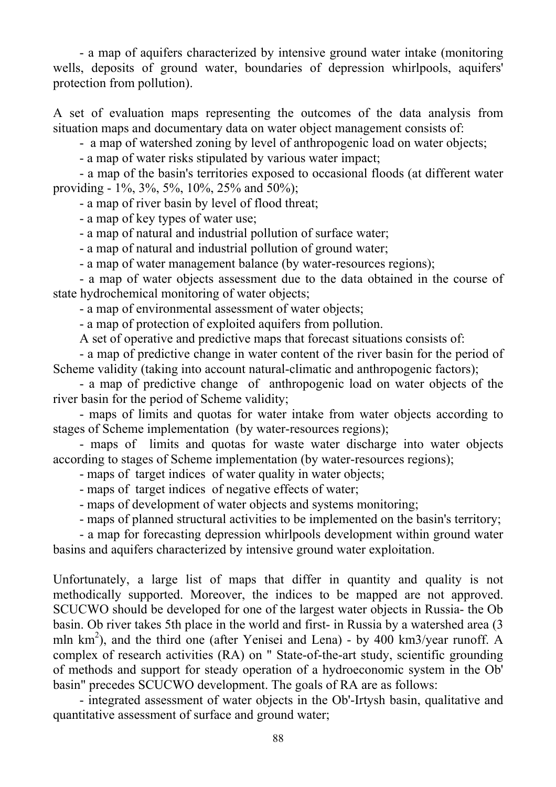- a map of aquifers characterized by intensive ground water intake (monitoring wells, deposits of ground water, boundaries of depression whirlpools, aquifers' protection from pollution).

A set of evaluation maps representing the outcomes of the data analysis from situation maps and documentary data on water object management consists of:

- a map of watershed zoning by level of anthropogenic load on water objects;

- a map of water risks stipulated by various water impact;

- a map of the basin's territories exposed to occasional floods (at different water providing - 1%, 3%, 5%, 10%, 25% and 50%);

- a map of river basin by level of flood threat;

- a map of key types of water use;

- a map of natural and industrial pollution of surface water;

- a map of natural and industrial pollution of ground water;

- a map of water management balance (by water-resources regions);

- a map of water objects assessment due to the data obtained in the course of state hydrochemical monitoring of water objects;

- a map of environmental assessment of water objects;

- a map of protection of exploited aquifers from pollution.

A set of operative and predictive maps that forecast situations consists of:

- a map of predictive change in water content of the river basin for the period of Scheme validity (taking into account natural-climatic and anthropogenic factors);

- a map of predictive change of anthropogenic load on water objects of the river basin for the period of Scheme validity;

- maps of limits and quotas for water intake from water objects according to stages of Scheme implementation (by water-resources regions);

- maps of limits and quotas for waste water discharge into water objects according to stages of Scheme implementation (by water-resources regions);

- maps of target indices of water quality in water objects;

- maps of target indices of negative effects of water;
- maps of development of water objects and systems monitoring;
- maps of planned structural activities to be implemented on the basin's territory;

- a map for forecasting depression whirlpools development within ground water basins and aquifers characterized by intensive ground water exploitation.

Unfortunately, a large list of maps that differ in quantity and quality is not methodically supported. Moreover, the indices to be mapped are not approved. SCUCWO should be developed for one of the largest water objects in Russia- the Ob basin. Ob river takes 5th place in the world and first- in Russia by a watershed area (3 mln  $km<sup>2</sup>$ ), and the third one (after Yenisei and Lena) - by 400 km3/year runoff. A complex of research activities (RA) on " State-of-the-art study, scientific grounding of methods and support for steady operation of a hydroeconomic system in the Ob' basin" precedes SCUCWO development. The goals of RA are as follows:

- integrated assessment of water objects in the Ob'-Irtysh basin, qualitative and quantitative assessment of surface and ground water;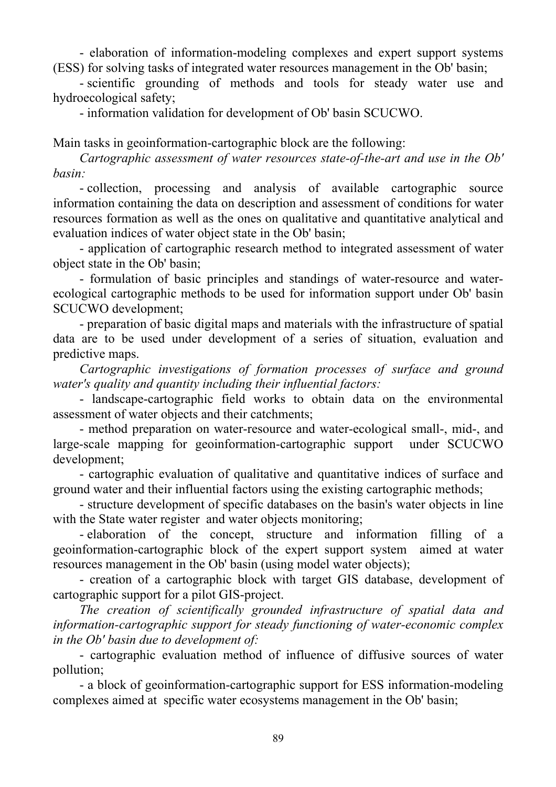- elaboration of information-modeling complexes and expert support systems (ESS) for solving tasks of integrated water resources management in the Ob' basin;

- scientific grounding of methods and tools for steady water use and hydroecological safety;

- information validation for development of Ob' basin SCUCWO.

Main tasks in geoinformation-cartographic block are the following:

*Cartographic assessment of water resources state-of-the-art and use in the Ob' basin:* 

- collection, processing and analysis of available cartographic source information containing the data on description and assessment of conditions for water resources formation as well as the ones on qualitative and quantitative analytical and evaluation indices of water object state in the Ob' basin;

- application of cartographic research method to integrated assessment of water object state in the Ob' basin;

- formulation of basic principles and standings of water-resource and waterecological cartographic methods to be used for information support under Ob' basin SCUCWO development;

- preparation of basic digital maps and materials with the infrastructure of spatial data are to be used under development of a series of situation, evaluation and predictive maps.

*Cartographic investigations of formation processes of surface and ground water's quality and quantity including their influential factors:* 

- landscape-cartographic field works to obtain data on the environmental assessment of water objects and their catchments;

- method preparation on water-resource and water-ecological small-, mid-, and large-scale mapping for geoinformation-cartographic support under SCUCWO development;

- cartographic evaluation of qualitative and quantitative indices of surface and ground water and their influential factors using the existing cartographic methods;

- structure development of specific databases on the basin's water objects in line with the State water register and water objects monitoring;

- elaboration of the concept, structure and information filling of a geoinformation-cartographic block of the expert support system aimed at water resources management in the Ob' basin (using model water objects);

- creation of a cartographic block with target GIS database, development of cartographic support for a pilot GIS-project.

*The creation of scientifically grounded infrastructure of spatial data and information-cartographic support for steady functioning of water-economic complex in the Ob' basin due to development of:* 

- cartographic evaluation method of influence of diffusive sources of water pollution;

- a block of geoinformation-cartographic support for ESS information-modeling complexes aimed at specific water ecosystems management in the Ob' basin;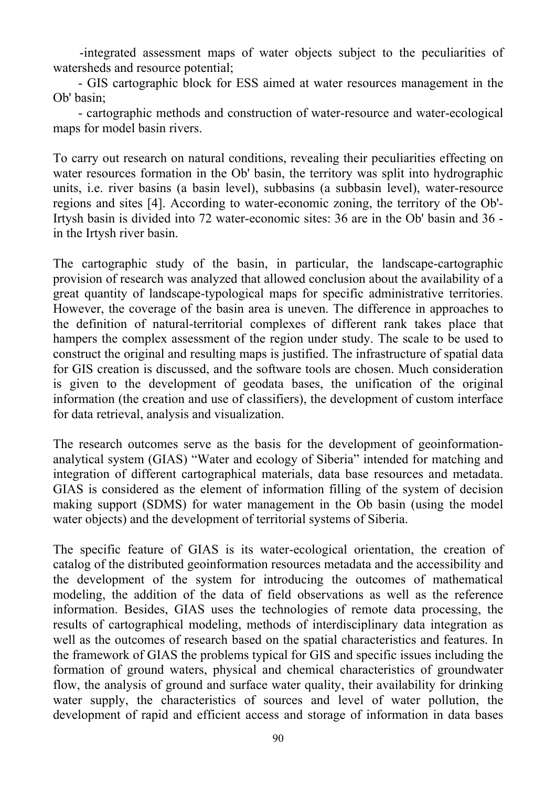-integrated assessment maps of water objects subject to the peculiarities of watersheds and resource potential;

- GIS cartographic block for ESS aimed at water resources management in the Ob' basin;

- cartographic methods and construction of water-resource and water-ecological maps for model basin rivers.

To carry out research on natural conditions, revealing their peculiarities effecting on water resources formation in the Ob' basin, the territory was split into hydrographic units, i.e. river basins (a basin level), subbasins (a subbasin level), water-resource regions and sites [4]. According to water-economic zoning, the territory of the Ob'- Irtysh basin is divided into 72 water-economic sites: 36 are in the Ob' basin and 36 in the Irtysh river basin.

The cartographic study of the basin, in particular, the landscape-cartographic provision of research was analyzed that allowed conclusion about the availability of a great quantity of landscape-typological maps for specific administrative territories. However, the coverage of the basin area is uneven. The difference in approaches to the definition of natural-territorial complexes of different rank takes place that hampers the complex assessment of the region under study. The scale to be used to construct the original and resulting maps is justified. The infrastructure of spatial data for GIS creation is discussed, and the software tools are chosen. Much consideration is given to the development of geodata bases, the unification of the original information (the creation and use of classifiers), the development of custom interface for data retrieval, analysis and visualization.

The research outcomes serve as the basis for the development of geoinformationanalytical system (GIAS) "Water and ecology of Siberia" intended for matching and integration of different cartographical materials, data base resources and metadata. GIAS is considered as the element of information filling of the system of decision making support (SDMS) for water management in the Ob basin (using the model water objects) and the development of territorial systems of Siberia.

The specific feature of GIAS is its water-ecological orientation, the creation of catalog of the distributed geoinformation resources metadata and the accessibility and the development of the system for introducing the outcomes of mathematical modeling, the addition of the data of field observations as well as the reference information. Besides, GIAS uses the technologies of remote data processing, the results of cartographical modeling, methods of interdisciplinary data integration as well as the outcomes of research based on the spatial characteristics and features. In the framework of GIAS the problems typical for GIS and specific issues including the formation of ground waters, physical and chemical characteristics of groundwater flow, the analysis of ground and surface water quality, their availability for drinking water supply, the characteristics of sources and level of water pollution, the development of rapid and efficient access and storage of information in data bases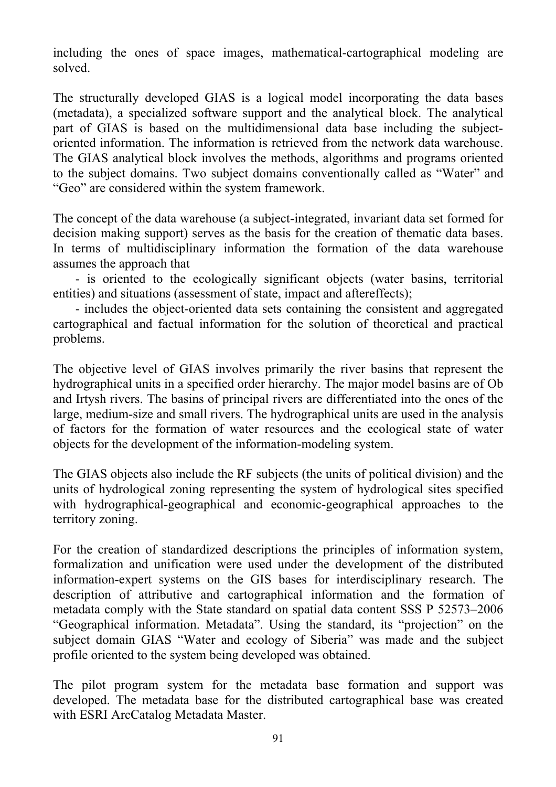including the ones of space images, mathematical-cartographical modeling are solved.

The structurally developed GIAS is a logical model incorporating the data bases (metadata), a specialized software support and the analytical block. The analytical part of GIAS is based on the multidimensional data base including the subjectoriented information. The information is retrieved from the network data warehouse. The GIAS analytical block involves the methods, algorithms and programs oriented to the subject domains. Two subject domains conventionally called as "Water" and "Geo" are considered within the system framework.

The concept of the data warehouse (a subject-integrated, invariant data set formed for decision making support) serves as the basis for the creation of thematic data bases. In terms of multidisciplinary information the formation of the data warehouse assumes the approach that

- is oriented to the ecologically significant objects (water basins, territorial entities) and situations (assessment of state, impact and aftereffects);

- includes the object-oriented data sets containing the consistent and aggregated cartographical and factual information for the solution of theoretical and practical problems.

The objective level of GIAS involves primarily the river basins that represent the hydrographical units in a specified order hierarchy. The major model basins are of Ob and Irtysh rivers. The basins of principal rivers are differentiated into the ones of the large, medium-size and small rivers. The hydrographical units are used in the analysis of factors for the formation of water resources and the ecological state of water objects for the development of the information-modeling system.

The GIAS objects also include the RF subjects (the units of political division) and the units of hydrological zoning representing the system of hydrological sites specified with hydrographical-geographical and economic-geographical approaches to the territory zoning.

For the creation of standardized descriptions the principles of information system, formalization and unification were used under the development of the distributed information-expert systems on the GIS bases for interdisciplinary research. The description of attributive and cartographical information and the formation of metadata comply with the State standard on spatial data content SSS P 52573–2006 "Geographical information. Metadata". Using the standard, its "projection" on the subject domain GIAS "Water and ecology of Siberia" was made and the subject profile oriented to the system being developed was obtained.

The pilot program system for the metadata base formation and support was developed. The metadata base for the distributed cartographical base was created with ESRI ArcCatalog Metadata Master.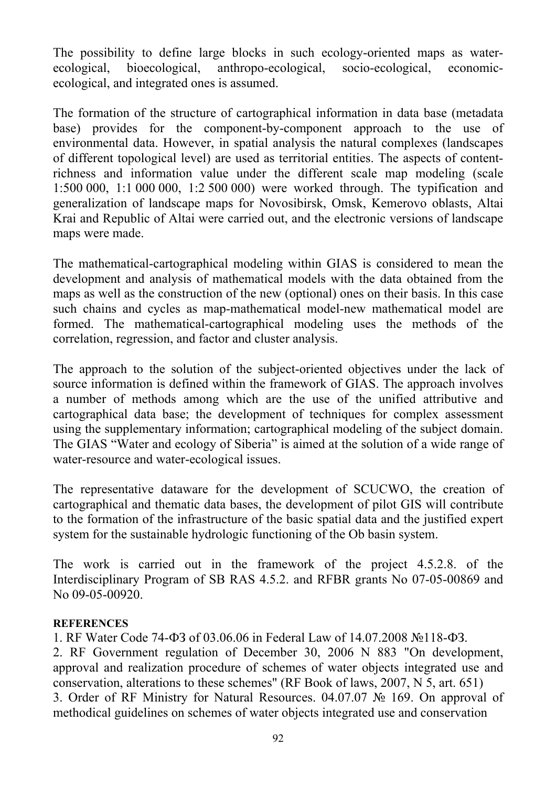The possibility to define large blocks in such ecology-oriented maps as waterecological, bioecological, anthropo-ecological, socio-ecological, economicecological, and integrated ones is assumed.

The formation of the structure of cartographical information in data base (metadata base) provides for the component-by-component approach to the use of environmental data. However, in spatial analysis the natural complexes (landscapes of different topological level) are used as territorial entities. The aspects of contentrichness and information value under the different scale map modeling (scale 1:500 000, 1:1 000 000, 1:2 500 000) were worked through. The typification and generalization of landscape maps for Novosibirsk, Omsk, Kemerovo oblasts, Altai Krai and Republic of Altai were carried out, and the electronic versions of landscape maps were made.

The mathematical-cartographical modeling within GIAS is considered to mean the development and analysis of mathematical models with the data obtained from the maps as well as the construction of the new (optional) ones on their basis. In this case such chains and cycles as map-mathematical model-new mathematical model are formed. The mathematical-cartographical modeling uses the methods of the correlation, regression, and factor and cluster analysis.

The approach to the solution of the subject-oriented objectives under the lack of source information is defined within the framework of GIAS. The approach involves a number of methods among which are the use of the unified attributive and cartographical data base; the development of techniques for complex assessment using the supplementary information; cartographical modeling of the subject domain. The GIAS "Water and ecology of Siberia" is aimed at the solution of a wide range of water-resource and water-ecological issues.

The representative dataware for the development of SCUCWO, the creation of cartographical and thematic data bases, the development of pilot GIS will contribute to the formation of the infrastructure of the basic spatial data and the justified expert system for the sustainable hydrologic functioning of the Ob basin system.

The work is carried out in the framework of the project 4.5.2.8. of the Interdisciplinary Program of SB RAS 4.5.2. and RFBR grants No 07-05-00869 and No 09-05-00920.

## **REFERENCES**

1. RF Water Code 74-ФЗ of 03.06.06 in Federal Law of 14.07.2008 №118-ФЗ. 2. RF Government regulation of December 30, 2006 N 883 "On development, approval and realization procedure of schemes of water objects integrated use and conservation, alterations to these schemes" (RF Book of laws, 2007, N 5, art. 651) 3. Order of RF Ministry for Natural Resources. 04.07.07 № 169. On approval of methodical guidelines on schemes of water objects integrated use and conservation